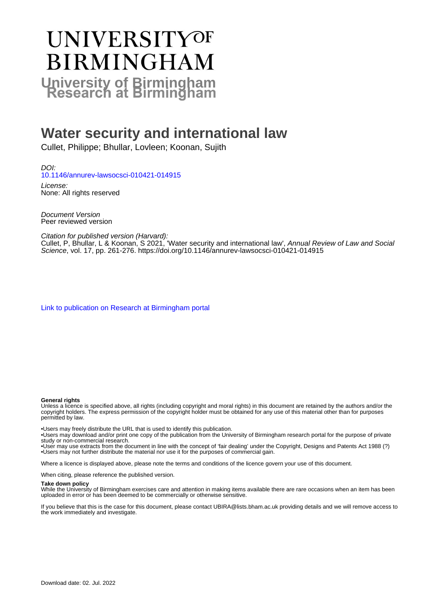# **UNIVERSITYOF BIRMINGHAM University of Birmingham**

## **Water security and international law**

Cullet, Philippe; Bhullar, Lovleen; Koonan, Sujith

DOI: [10.1146/annurev-lawsocsci-010421-014915](https://doi.org/10.1146/annurev-lawsocsci-010421-014915)

License: None: All rights reserved

Document Version Peer reviewed version

Citation for published version (Harvard):

Cullet, P, Bhullar, L & Koonan, S 2021, 'Water security and international law', Annual Review of Law and Social Science, vol. 17, pp. 261-276.<https://doi.org/10.1146/annurev-lawsocsci-010421-014915>

[Link to publication on Research at Birmingham portal](https://birmingham.elsevierpure.com/en/publications/ad28c79f-8ed8-4f2e-8ce1-4eee86b2c950)

#### **General rights**

Unless a licence is specified above, all rights (including copyright and moral rights) in this document are retained by the authors and/or the copyright holders. The express permission of the copyright holder must be obtained for any use of this material other than for purposes permitted by law.

• Users may freely distribute the URL that is used to identify this publication.

• Users may download and/or print one copy of the publication from the University of Birmingham research portal for the purpose of private study or non-commercial research.

• User may use extracts from the document in line with the concept of 'fair dealing' under the Copyright, Designs and Patents Act 1988 (?) • Users may not further distribute the material nor use it for the purposes of commercial gain.

Where a licence is displayed above, please note the terms and conditions of the licence govern your use of this document.

When citing, please reference the published version.

#### **Take down policy**

While the University of Birmingham exercises care and attention in making items available there are rare occasions when an item has been uploaded in error or has been deemed to be commercially or otherwise sensitive.

If you believe that this is the case for this document, please contact UBIRA@lists.bham.ac.uk providing details and we will remove access to the work immediately and investigate.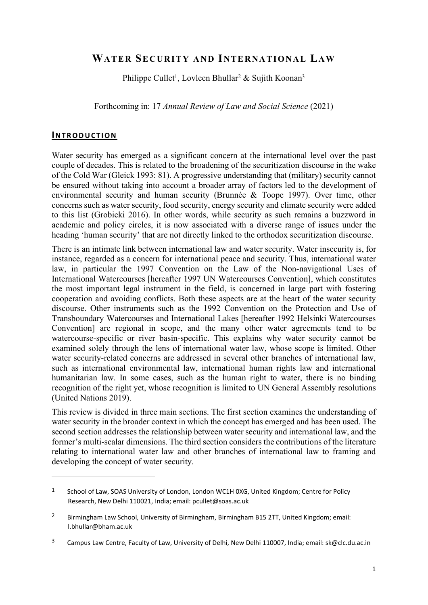### WATER SECURITY AND INTERNATIONAL LAW

Philippe Cullet<sup>1</sup>, Lovleen Bhullar<sup>2</sup> & Sujith Koonan<sup>3</sup>

Forthcoming in: 17 Annual Review of Law and Social Science (2021)

#### INTRODUCTION

Water security has emerged as a significant concern at the international level over the past couple of decades. This is related to the broadening of the securitization discourse in the wake of the Cold War (Gleick 1993: 81). A progressive understanding that (military) security cannot be ensured without taking into account a broader array of factors led to the development of environmental security and human security (Brunnée & Toope 1997). Over time, other concerns such as water security, food security, energy security and climate security were added to this list (Grobicki 2016). In other words, while security as such remains a buzzword in academic and policy circles, it is now associated with a diverse range of issues under the heading 'human security' that are not directly linked to the orthodox securitization discourse.

There is an intimate link between international law and water security. Water insecurity is, for instance, regarded as a concern for international peace and security. Thus, international water law, in particular the 1997 Convention on the Law of the Non-navigational Uses of International Watercourses [hereafter 1997 UN Watercourses Convention], which constitutes the most important legal instrument in the field, is concerned in large part with fostering cooperation and avoiding conflicts. Both these aspects are at the heart of the water security discourse. Other instruments such as the 1992 Convention on the Protection and Use of Transboundary Watercourses and International Lakes [hereafter 1992 Helsinki Watercourses Convention] are regional in scope, and the many other water agreements tend to be watercourse-specific or river basin-specific. This explains why water security cannot be examined solely through the lens of international water law, whose scope is limited. Other water security-related concerns are addressed in several other branches of international law, such as international environmental law, international human rights law and international humanitarian law. In some cases, such as the human right to water, there is no binding recognition of the right yet, whose recognition is limited to UN General Assembly resolutions (United Nations 2019).

This review is divided in three main sections. The first section examines the understanding of water security in the broader context in which the concept has emerged and has been used. The second section addresses the relationship between water security and international law, and the former's multi-scalar dimensions. The third section considers the contributions of the literature relating to international water law and other branches of international law to framing and developing the concept of water security.

<sup>&</sup>lt;sup>1</sup> School of Law, SOAS University of London, London WC1H 0XG, United Kingdom; Centre for Policy Research, New Delhi 110021, India; email: pcullet@soas.ac.uk

<sup>&</sup>lt;sup>2</sup> Birmingham Law School, University of Birmingham, Birmingham B15 2TT, United Kingdom; email: l.bhullar@bham.ac.uk

<sup>&</sup>lt;sup>3</sup> Campus Law Centre, Faculty of Law, University of Delhi, New Delhi 110007, India; email: sk@clc.du.ac.in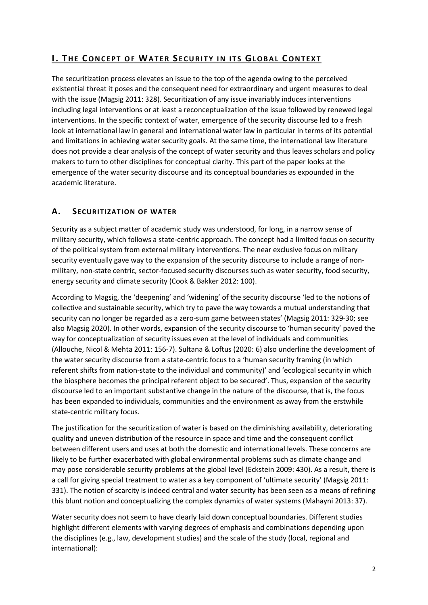## I. THE CONCEPT OF WATER SECURITY IN ITS GLOBAL CONTEXT

The securitization process elevates an issue to the top of the agenda owing to the perceived existential threat it poses and the consequent need for extraordinary and urgent measures to deal with the issue (Magsig 2011: 328). Securitization of any issue invariably induces interventions including legal interventions or at least a reconceptualization of the issue followed by renewed legal interventions. In the specific context of water, emergence of the security discourse led to a fresh look at international law in general and international water law in particular in terms of its potential and limitations in achieving water security goals. At the same time, the international law literature does not provide a clear analysis of the concept of water security and thus leaves scholars and policy makers to turn to other disciplines for conceptual clarity. This part of the paper looks at the emergence of the water security discourse and its conceptual boundaries as expounded in the academic literature.

#### A. SECURITIZATION OF WATER

Security as a subject matter of academic study was understood, for long, in a narrow sense of military security, which follows a state-centric approach. The concept had a limited focus on security of the political system from external military interventions. The near exclusive focus on military security eventually gave way to the expansion of the security discourse to include a range of nonmilitary, non-state centric, sector-focused security discourses such as water security, food security, energy security and climate security (Cook & Bakker 2012: 100).

According to Magsig, the 'deepening' and 'widening' of the security discourse 'led to the notions of collective and sustainable security, which try to pave the way towards a mutual understanding that security can no longer be regarded as a zero-sum game between states' (Magsig 2011: 329-30; see also Magsig 2020). In other words, expansion of the security discourse to 'human security' paved the way for conceptualization of security issues even at the level of individuals and communities (Allouche, Nicol & Mehta 2011: 156-7). Sultana & Loftus (2020: 6) also underline the development of the water security discourse from a state-centric focus to a 'human security framing (in which referent shifts from nation-state to the individual and community)' and 'ecological security in which the biosphere becomes the principal referent object to be secured'. Thus, expansion of the security discourse led to an important substantive change in the nature of the discourse, that is, the focus has been expanded to individuals, communities and the environment as away from the erstwhile state-centric military focus.

The justification for the securitization of water is based on the diminishing availability, deteriorating quality and uneven distribution of the resource in space and time and the consequent conflict between different users and uses at both the domestic and international levels. These concerns are likely to be further exacerbated with global environmental problems such as climate change and may pose considerable security problems at the global level (Eckstein 2009: 430). As a result, there is a call for giving special treatment to water as a key component of 'ultimate security' (Magsig 2011: 331). The notion of scarcity is indeed central and water security has been seen as a means of refining this blunt notion and conceptualizing the complex dynamics of water systems (Mahayni 2013: 37).

Water security does not seem to have clearly laid down conceptual boundaries. Different studies highlight different elements with varying degrees of emphasis and combinations depending upon the disciplines (e.g., law, development studies) and the scale of the study (local, regional and international):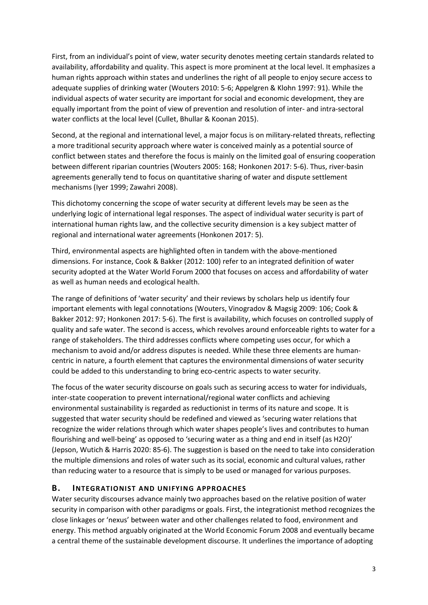First, from an individual's point of view, water security denotes meeting certain standards related to availability, affordability and quality. This aspect is more prominent at the local level. It emphasizes a human rights approach within states and underlines the right of all people to enjoy secure access to adequate supplies of drinking water (Wouters 2010: 5-6; Appelgren & Klohn 1997: 91). While the individual aspects of water security are important for social and economic development, they are equally important from the point of view of prevention and resolution of inter- and intra-sectoral water conflicts at the local level (Cullet, Bhullar & Koonan 2015).

Second, at the regional and international level, a major focus is on military-related threats, reflecting a more traditional security approach where water is conceived mainly as a potential source of conflict between states and therefore the focus is mainly on the limited goal of ensuring cooperation between different riparian countries (Wouters 2005: 168; Honkonen 2017: 5-6). Thus, river-basin agreements generally tend to focus on quantitative sharing of water and dispute settlement mechanisms (Iyer 1999; Zawahri 2008).

This dichotomy concerning the scope of water security at different levels may be seen as the underlying logic of international legal responses. The aspect of individual water security is part of international human rights law, and the collective security dimension is a key subject matter of regional and international water agreements (Honkonen 2017: 5).

Third, environmental aspects are highlighted often in tandem with the above-mentioned dimensions. For instance, Cook & Bakker (2012: 100) refer to an integrated definition of water security adopted at the Water World Forum 2000 that focuses on access and affordability of water as well as human needs and ecological health.

The range of definitions of 'water security' and their reviews by scholars help us identify four important elements with legal connotations (Wouters, Vinogradov & Magsig 2009: 106; Cook & Bakker 2012: 97; Honkonen 2017: 5-6). The first is availability, which focuses on controlled supply of quality and safe water. The second is access, which revolves around enforceable rights to water for a range of stakeholders. The third addresses conflicts where competing uses occur, for which a mechanism to avoid and/or address disputes is needed. While these three elements are humancentric in nature, a fourth element that captures the environmental dimensions of water security could be added to this understanding to bring eco-centric aspects to water security.

The focus of the water security discourse on goals such as securing access to water for individuals, inter-state cooperation to prevent international/regional water conflicts and achieving environmental sustainability is regarded as reductionist in terms of its nature and scope. It is suggested that water security should be redefined and viewed as 'securing water relations that recognize the wider relations through which water shapes people's lives and contributes to human flourishing and well-being' as opposed to 'securing water as a thing and end in itself (as H2O)' (Jepson, Wutich & Harris 2020: 85-6). The suggestion is based on the need to take into consideration the multiple dimensions and roles of water such as its social, economic and cultural values, rather than reducing water to a resource that is simply to be used or managed for various purposes.

#### B. INTEGRATIONIST AND UNIFYING APPROACHES

Water security discourses advance mainly two approaches based on the relative position of water security in comparison with other paradigms or goals. First, the integrationist method recognizes the close linkages or 'nexus' between water and other challenges related to food, environment and energy. This method arguably originated at the World Economic Forum 2008 and eventually became a central theme of the sustainable development discourse. It underlines the importance of adopting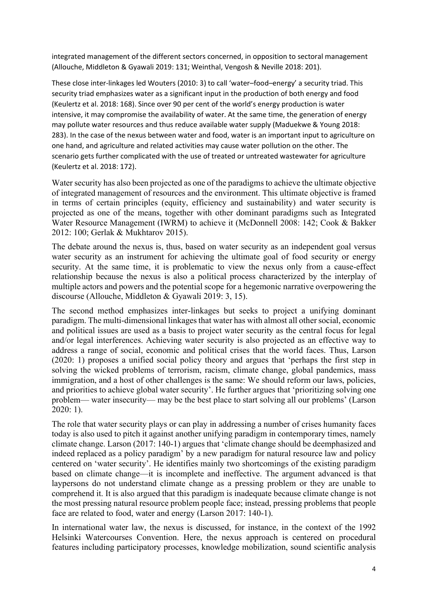integrated management of the different sectors concerned, in opposition to sectoral management (Allouche, Middleton & Gyawali 2019: 131; Weinthal, Vengosh & Neville 2018: 201).

These close inter-linkages led Wouters (2010: 3) to call 'water–food–energy' a security triad. This security triad emphasizes water as a significant input in the production of both energy and food (Keulertz et al. 2018: 168). Since over 90 per cent of the world's energy production is water intensive, it may compromise the availability of water. At the same time, the generation of energy may pollute water resources and thus reduce available water supply (Maduekwe & Young 2018: 283). In the case of the nexus between water and food, water is an important input to agriculture on one hand, and agriculture and related activities may cause water pollution on the other. The scenario gets further complicated with the use of treated or untreated wastewater for agriculture (Keulertz et al. 2018: 172).

Water security has also been projected as one of the paradigms to achieve the ultimate objective of integrated management of resources and the environment. This ultimate objective is framed in terms of certain principles (equity, efficiency and sustainability) and water security is projected as one of the means, together with other dominant paradigms such as Integrated Water Resource Management (IWRM) to achieve it (McDonnell 2008: 142; Cook & Bakker 2012: 100; Gerlak & Mukhtarov 2015).

The debate around the nexus is, thus, based on water security as an independent goal versus water security as an instrument for achieving the ultimate goal of food security or energy security. At the same time, it is problematic to view the nexus only from a cause-effect relationship because the nexus is also a political process characterized by the interplay of multiple actors and powers and the potential scope for a hegemonic narrative overpowering the discourse (Allouche, Middleton & Gyawali 2019: 3, 15).

The second method emphasizes inter-linkages but seeks to project a unifying dominant paradigm. The multi-dimensional linkages that water has with almost all other social, economic and political issues are used as a basis to project water security as the central focus for legal and/or legal interferences. Achieving water security is also projected as an effective way to address a range of social, economic and political crises that the world faces. Thus, Larson (2020: 1) proposes a unified social policy theory and argues that 'perhaps the first step in solving the wicked problems of terrorism, racism, climate change, global pandemics, mass immigration, and a host of other challenges is the same: We should reform our laws, policies, and priorities to achieve global water security'. He further argues that 'prioritizing solving one problem— water insecurity— may be the best place to start solving all our problems' (Larson 2020: 1).

The role that water security plays or can play in addressing a number of crises humanity faces today is also used to pitch it against another unifying paradigm in contemporary times, namely climate change. Larson (2017: 140-1) argues that 'climate change should be deemphasized and indeed replaced as a policy paradigm' by a new paradigm for natural resource law and policy centered on 'water security'. He identifies mainly two shortcomings of the existing paradigm based on climate change—it is incomplete and ineffective. The argument advanced is that laypersons do not understand climate change as a pressing problem or they are unable to comprehend it. It is also argued that this paradigm is inadequate because climate change is not the most pressing natural resource problem people face; instead, pressing problems that people face are related to food, water and energy (Larson 2017: 140-1).

In international water law, the nexus is discussed, for instance, in the context of the 1992 Helsinki Watercourses Convention. Here, the nexus approach is centered on procedural features including participatory processes, knowledge mobilization, sound scientific analysis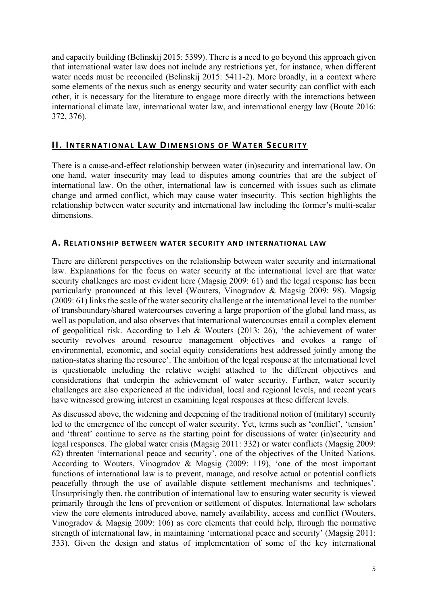and capacity building (Belinskij 2015: 5399). There is a need to go beyond this approach given that international water law does not include any restrictions yet, for instance, when different water needs must be reconciled (Belinskij 2015: 5411-2). More broadly, in a context where some elements of the nexus such as energy security and water security can conflict with each other, it is necessary for the literature to engage more directly with the interactions between international climate law, international water law, and international energy law (Boute 2016: 372, 376).

#### II. INTERNATIONAL LAW DIMENSIONS OF WATER SECURITY

There is a cause-and-effect relationship between water (in)security and international law. On one hand, water insecurity may lead to disputes among countries that are the subject of international law. On the other, international law is concerned with issues such as climate change and armed conflict, which may cause water insecurity. This section highlights the relationship between water security and international law including the former's multi-scalar dimensions.

#### A. RELATIONSHIP BETWEEN WATER SECURITY AND INTERNATIONAL LAW

There are different perspectives on the relationship between water security and international law. Explanations for the focus on water security at the international level are that water security challenges are most evident here (Magsig 2009: 61) and the legal response has been particularly pronounced at this level (Wouters, Vinogradov & Magsig 2009: 98). Magsig (2009: 61) links the scale of the water security challenge at the international level to the number of transboundary/shared watercourses covering a large proportion of the global land mass, as well as population, and also observes that international watercourses entail a complex element of geopolitical risk. According to Leb & Wouters (2013: 26), 'the achievement of water security revolves around resource management objectives and evokes a range of environmental, economic, and social equity considerations best addressed jointly among the nation-states sharing the resource'. The ambition of the legal response at the international level is questionable including the relative weight attached to the different objectives and considerations that underpin the achievement of water security. Further, water security challenges are also experienced at the individual, local and regional levels, and recent years have witnessed growing interest in examining legal responses at these different levels.

As discussed above, the widening and deepening of the traditional notion of (military) security led to the emergence of the concept of water security. Yet, terms such as 'conflict', 'tension' and 'threat' continue to serve as the starting point for discussions of water (in)security and legal responses. The global water crisis (Magsig 2011: 332) or water conflicts (Magsig 2009: 62) threaten 'international peace and security', one of the objectives of the United Nations. According to Wouters, Vinogradov & Magsig (2009: 119), 'one of the most important functions of international law is to prevent, manage, and resolve actual or potential conflicts peacefully through the use of available dispute settlement mechanisms and techniques'. Unsurprisingly then, the contribution of international law to ensuring water security is viewed primarily through the lens of prevention or settlement of disputes. International law scholars view the core elements introduced above, namely availability, access and conflict (Wouters, Vinogradov & Magsig 2009: 106) as core elements that could help, through the normative strength of international law, in maintaining 'international peace and security' (Magsig 2011: 333). Given the design and status of implementation of some of the key international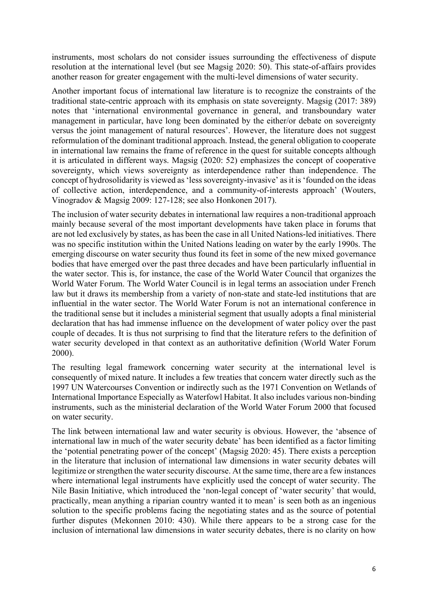instruments, most scholars do not consider issues surrounding the effectiveness of dispute resolution at the international level (but see Magsig 2020: 50). This state-of-affairs provides another reason for greater engagement with the multi-level dimensions of water security.

Another important focus of international law literature is to recognize the constraints of the traditional state-centric approach with its emphasis on state sovereignty. Magsig (2017: 389) notes that 'international environmental governance in general, and transboundary water management in particular, have long been dominated by the either/or debate on sovereignty versus the joint management of natural resources'. However, the literature does not suggest reformulation of the dominant traditional approach. Instead, the general obligation to cooperate in international law remains the frame of reference in the quest for suitable concepts although it is articulated in different ways. Magsig (2020: 52) emphasizes the concept of cooperative sovereignty, which views sovereignty as interdependence rather than independence. The concept of hydrosolidarity is viewed as 'less sovereignty-invasive' as it is 'founded on the ideas of collective action, interdependence, and a community-of-interests approach' (Wouters, Vinogradov & Magsig 2009: 127-128; see also Honkonen 2017).

The inclusion of water security debates in international law requires a non-traditional approach mainly because several of the most important developments have taken place in forums that are not led exclusively by states, as has been the case in all United Nations-led initiatives. There was no specific institution within the United Nations leading on water by the early 1990s. The emerging discourse on water security thus found its feet in some of the new mixed governance bodies that have emerged over the past three decades and have been particularly influential in the water sector. This is, for instance, the case of the World Water Council that organizes the World Water Forum. The World Water Council is in legal terms an association under French law but it draws its membership from a variety of non-state and state-led institutions that are influential in the water sector. The World Water Forum is not an international conference in the traditional sense but it includes a ministerial segment that usually adopts a final ministerial declaration that has had immense influence on the development of water policy over the past couple of decades. It is thus not surprising to find that the literature refers to the definition of water security developed in that context as an authoritative definition (World Water Forum 2000).

The resulting legal framework concerning water security at the international level is consequently of mixed nature. It includes a few treaties that concern water directly such as the 1997 UN Watercourses Convention or indirectly such as the 1971 Convention on Wetlands of International Importance Especially as Waterfowl Habitat. It also includes various non-binding instruments, such as the ministerial declaration of the World Water Forum 2000 that focused on water security.

The link between international law and water security is obvious. However, the 'absence of international law in much of the water security debate' has been identified as a factor limiting the 'potential penetrating power of the concept' (Magsig 2020: 45). There exists a perception in the literature that inclusion of international law dimensions in water security debates will legitimize or strengthen the water security discourse. At the same time, there are a few instances where international legal instruments have explicitly used the concept of water security. The Nile Basin Initiative, which introduced the 'non-legal concept of 'water security' that would, practically, mean anything a riparian country wanted it to mean' is seen both as an ingenious solution to the specific problems facing the negotiating states and as the source of potential further disputes (Mekonnen 2010: 430). While there appears to be a strong case for the inclusion of international law dimensions in water security debates, there is no clarity on how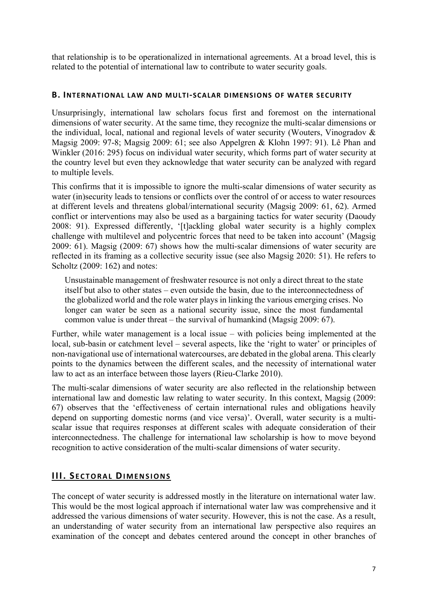that relationship is to be operationalized in international agreements. At a broad level, this is related to the potential of international law to contribute to water security goals.

#### B. INTERNATIONAL LAW AND MULTI-SCALAR DIMENSIONS OF WATER SECURITY

Unsurprisingly, international law scholars focus first and foremost on the international dimensions of water security. At the same time, they recognize the multi-scalar dimensions or the individual, local, national and regional levels of water security (Wouters, Vinogradov & Magsig 2009: 97-8; Magsig 2009: 61; see also Appelgren & Klohn 1997: 91). Lê Phan and Winkler (2016: 295) focus on individual water security, which forms part of water security at the country level but even they acknowledge that water security can be analyzed with regard to multiple levels.

This confirms that it is impossible to ignore the multi-scalar dimensions of water security as water (in)security leads to tensions or conflicts over the control of or access to water resources at different levels and threatens global/international security (Magsig 2009: 61, 62). Armed conflict or interventions may also be used as a bargaining tactics for water security (Daoudy 2008: 91). Expressed differently, '[t]ackling global water security is a highly complex challenge with multilevel and polycentric forces that need to be taken into account' (Magsig 2009: 61). Magsig (2009: 67) shows how the multi-scalar dimensions of water security are reflected in its framing as a collective security issue (see also Magsig 2020: 51). He refers to Scholtz (2009: 162) and notes:

Unsustainable management of freshwater resource is not only a direct threat to the state itself but also to other states – even outside the basin, due to the interconnectedness of the globalized world and the role water plays in linking the various emerging crises. No longer can water be seen as a national security issue, since the most fundamental common value is under threat – the survival of humankind (Magsig 2009: 67).

Further, while water management is a local issue – with policies being implemented at the local, sub-basin or catchment level – several aspects, like the 'right to water' or principles of non-navigational use of international watercourses, are debated in the global arena. This clearly points to the dynamics between the different scales, and the necessity of international water law to act as an interface between those layers (Rieu-Clarke 2010).

The multi-scalar dimensions of water security are also reflected in the relationship between international law and domestic law relating to water security. In this context, Magsig (2009: 67) observes that the 'effectiveness of certain international rules and obligations heavily depend on supporting domestic norms (and vice versa)'. Overall, water security is a multiscalar issue that requires responses at different scales with adequate consideration of their interconnectedness. The challenge for international law scholarship is how to move beyond recognition to active consideration of the multi-scalar dimensions of water security.

#### **III. SECTORAL DIMENSIONS**

The concept of water security is addressed mostly in the literature on international water law. This would be the most logical approach if international water law was comprehensive and it addressed the various dimensions of water security. However, this is not the case. As a result, an understanding of water security from an international law perspective also requires an examination of the concept and debates centered around the concept in other branches of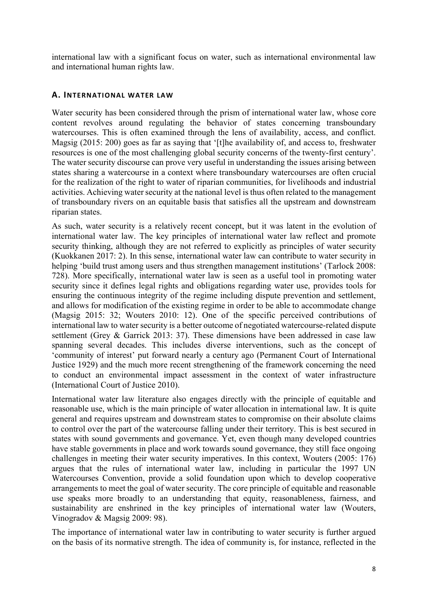international law with a significant focus on water, such as international environmental law and international human rights law.

#### A. INTERNATIONAL WATER LAW

Water security has been considered through the prism of international water law, whose core content revolves around regulating the behavior of states concerning transboundary watercourses. This is often examined through the lens of availability, access, and conflict. Magsig (2015: 200) goes as far as saying that '[t]he availability of, and access to, freshwater resources is one of the most challenging global security concerns of the twenty-first century'. The water security discourse can prove very useful in understanding the issues arising between states sharing a watercourse in a context where transboundary watercourses are often crucial for the realization of the right to water of riparian communities, for livelihoods and industrial activities. Achieving water security at the national level is thus often related to the management of transboundary rivers on an equitable basis that satisfies all the upstream and downstream riparian states.

As such, water security is a relatively recent concept, but it was latent in the evolution of international water law. The key principles of international water law reflect and promote security thinking, although they are not referred to explicitly as principles of water security (Kuokkanen 2017: 2). In this sense, international water law can contribute to water security in helping 'build trust among users and thus strengthen management institutions' (Tarlock 2008: 728). More specifically, international water law is seen as a useful tool in promoting water security since it defines legal rights and obligations regarding water use, provides tools for ensuring the continuous integrity of the regime including dispute prevention and settlement, and allows for modification of the existing regime in order to be able to accommodate change (Magsig 2015: 32; Wouters 2010: 12). One of the specific perceived contributions of international law to water security is a better outcome of negotiated watercourse-related dispute settlement (Grey & Garrick 2013: 37). These dimensions have been addressed in case law spanning several decades. This includes diverse interventions, such as the concept of 'community of interest' put forward nearly a century ago (Permanent Court of International Justice 1929) and the much more recent strengthening of the framework concerning the need to conduct an environmental impact assessment in the context of water infrastructure (International Court of Justice 2010).

International water law literature also engages directly with the principle of equitable and reasonable use, which is the main principle of water allocation in international law. It is quite general and requires upstream and downstream states to compromise on their absolute claims to control over the part of the watercourse falling under their territory. This is best secured in states with sound governments and governance. Yet, even though many developed countries have stable governments in place and work towards sound governance, they still face ongoing challenges in meeting their water security imperatives. In this context, Wouters (2005: 176) argues that the rules of international water law, including in particular the 1997 UN Watercourses Convention, provide a solid foundation upon which to develop cooperative arrangements to meet the goal of water security. The core principle of equitable and reasonable use speaks more broadly to an understanding that equity, reasonableness, fairness, and sustainability are enshrined in the key principles of international water law (Wouters, Vinogradov & Magsig 2009: 98).

The importance of international water law in contributing to water security is further argued on the basis of its normative strength. The idea of community is, for instance, reflected in the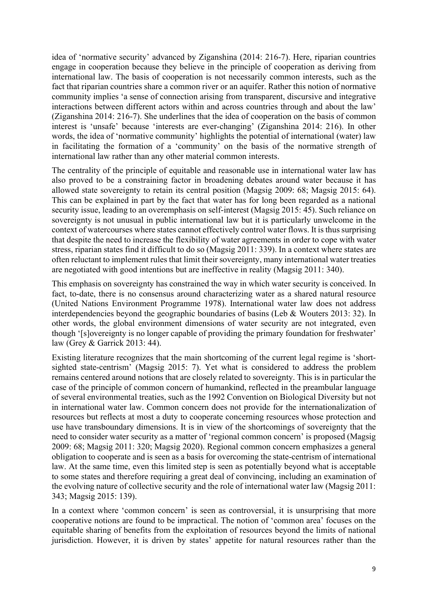idea of 'normative security' advanced by Ziganshina (2014: 216-7). Here, riparian countries engage in cooperation because they believe in the principle of cooperation as deriving from international law. The basis of cooperation is not necessarily common interests, such as the fact that riparian countries share a common river or an aquifer. Rather this notion of normative community implies 'a sense of connection arising from transparent, discursive and integrative interactions between different actors within and across countries through and about the law' (Ziganshina 2014: 216-7). She underlines that the idea of cooperation on the basis of common interest is 'unsafe' because 'interests are ever-changing' (Ziganshina 2014: 216). In other words, the idea of 'normative community' highlights the potential of international (water) law in facilitating the formation of a 'community' on the basis of the normative strength of international law rather than any other material common interests.

The centrality of the principle of equitable and reasonable use in international water law has also proved to be a constraining factor in broadening debates around water because it has allowed state sovereignty to retain its central position (Magsig 2009: 68; Magsig 2015: 64). This can be explained in part by the fact that water has for long been regarded as a national security issue, leading to an overemphasis on self-interest (Magsig 2015: 45). Such reliance on sovereignty is not unusual in public international law but it is particularly unwelcome in the context of watercourses where states cannot effectively control water flows. It is thus surprising that despite the need to increase the flexibility of water agreements in order to cope with water stress, riparian states find it difficult to do so (Magsig 2011: 339). In a context where states are often reluctant to implement rules that limit their sovereignty, many international water treaties are negotiated with good intentions but are ineffective in reality (Magsig 2011: 340).

This emphasis on sovereignty has constrained the way in which water security is conceived. In fact, to-date, there is no consensus around characterizing water as a shared natural resource (United Nations Environment Programme 1978). International water law does not address interdependencies beyond the geographic boundaries of basins (Leb & Wouters 2013: 32). In other words, the global environment dimensions of water security are not integrated, even though '[s]overeignty is no longer capable of providing the primary foundation for freshwater' law (Grey & Garrick 2013: 44).

Existing literature recognizes that the main shortcoming of the current legal regime is 'shortsighted state-centrism' (Magsig 2015: 7). Yet what is considered to address the problem remains centered around notions that are closely related to sovereignty. This is in particular the case of the principle of common concern of humankind, reflected in the preambular language of several environmental treaties, such as the 1992 Convention on Biological Diversity but not in international water law. Common concern does not provide for the internationalization of resources but reflects at most a duty to cooperate concerning resources whose protection and use have transboundary dimensions. It is in view of the shortcomings of sovereignty that the need to consider water security as a matter of 'regional common concern' is proposed (Magsig 2009: 68; Magsig 2011: 320; Magsig 2020). Regional common concern emphasizes a general obligation to cooperate and is seen as a basis for overcoming the state-centrism of international law. At the same time, even this limited step is seen as potentially beyond what is acceptable to some states and therefore requiring a great deal of convincing, including an examination of the evolving nature of collective security and the role of international water law (Magsig 2011: 343; Magsig 2015: 139).

In a context where 'common concern' is seen as controversial, it is unsurprising that more cooperative notions are found to be impractical. The notion of 'common area' focuses on the equitable sharing of benefits from the exploitation of resources beyond the limits of national jurisdiction. However, it is driven by states' appetite for natural resources rather than the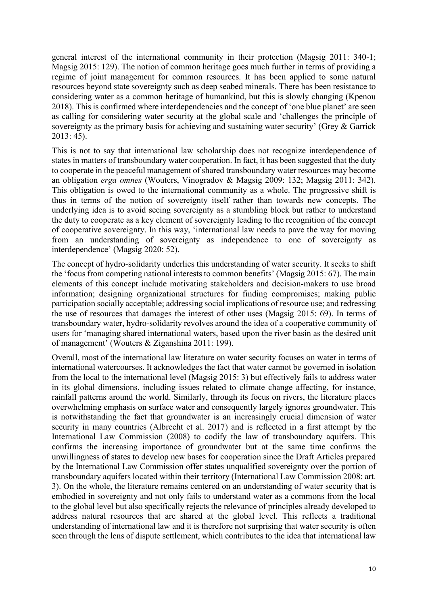general interest of the international community in their protection (Magsig 2011: 340-1; Magsig 2015: 129). The notion of common heritage goes much further in terms of providing a regime of joint management for common resources. It has been applied to some natural resources beyond state sovereignty such as deep seabed minerals. There has been resistance to considering water as a common heritage of humankind, but this is slowly changing (Kpenou 2018). This is confirmed where interdependencies and the concept of 'one blue planet' are seen as calling for considering water security at the global scale and 'challenges the principle of sovereignty as the primary basis for achieving and sustaining water security' (Grey & Garrick 2013: 45).

This is not to say that international law scholarship does not recognize interdependence of states in matters of transboundary water cooperation. In fact, it has been suggested that the duty to cooperate in the peaceful management of shared transboundary water resources may become an obligation erga omnes (Wouters, Vinogradov & Magsig 2009: 132; Magsig 2011: 342). This obligation is owed to the international community as a whole. The progressive shift is thus in terms of the notion of sovereignty itself rather than towards new concepts. The underlying idea is to avoid seeing sovereignty as a stumbling block but rather to understand the duty to cooperate as a key element of sovereignty leading to the recognition of the concept of cooperative sovereignty. In this way, 'international law needs to pave the way for moving from an understanding of sovereignty as independence to one of sovereignty as interdependence' (Magsig 2020: 52).

The concept of hydro-solidarity underlies this understanding of water security. It seeks to shift the 'focus from competing national interests to common benefits' (Magsig 2015: 67). The main elements of this concept include motivating stakeholders and decision-makers to use broad information; designing organizational structures for finding compromises; making public participation socially acceptable; addressing social implications of resource use; and redressing the use of resources that damages the interest of other uses (Magsig 2015: 69). In terms of transboundary water, hydro-solidarity revolves around the idea of a cooperative community of users for 'managing shared international waters, based upon the river basin as the desired unit of management' (Wouters & Ziganshina 2011: 199).

Overall, most of the international law literature on water security focuses on water in terms of international watercourses. It acknowledges the fact that water cannot be governed in isolation from the local to the international level (Magsig 2015: 3) but effectively fails to address water in its global dimensions, including issues related to climate change affecting, for instance, rainfall patterns around the world. Similarly, through its focus on rivers, the literature places overwhelming emphasis on surface water and consequently largely ignores groundwater. This is notwithstanding the fact that groundwater is an increasingly crucial dimension of water security in many countries (Albrecht et al. 2017) and is reflected in a first attempt by the International Law Commission (2008) to codify the law of transboundary aquifers. This confirms the increasing importance of groundwater but at the same time confirms the unwillingness of states to develop new bases for cooperation since the Draft Articles prepared by the International Law Commission offer states unqualified sovereignty over the portion of transboundary aquifers located within their territory (International Law Commission 2008: art. 3). On the whole, the literature remains centered on an understanding of water security that is embodied in sovereignty and not only fails to understand water as a commons from the local to the global level but also specifically rejects the relevance of principles already developed to address natural resources that are shared at the global level. This reflects a traditional understanding of international law and it is therefore not surprising that water security is often seen through the lens of dispute settlement, which contributes to the idea that international law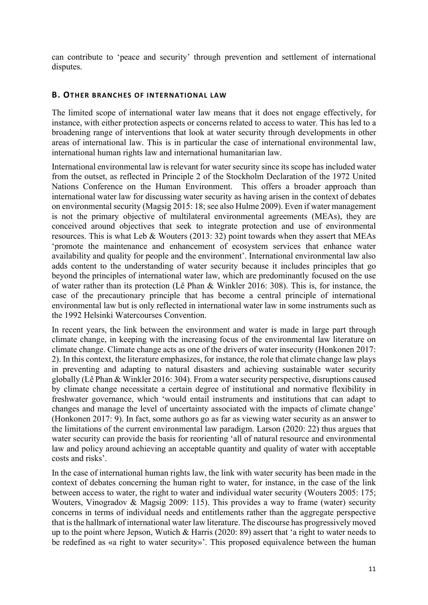can contribute to 'peace and security' through prevention and settlement of international disputes.

#### B. OTHER BRANCHES OF INTERNATIONAL LAW

The limited scope of international water law means that it does not engage effectively, for instance, with either protection aspects or concerns related to access to water. This has led to a broadening range of interventions that look at water security through developments in other areas of international law. This is in particular the case of international environmental law, international human rights law and international humanitarian law.

International environmental law is relevant for water security since its scope has included water from the outset, as reflected in Principle 2 of the Stockholm Declaration of the 1972 United Nations Conference on the Human Environment. This offers a broader approach than international water law for discussing water security as having arisen in the context of debates on environmental security (Magsig 2015: 18; see also Hulme 2009). Even if water management is not the primary objective of multilateral environmental agreements (MEAs), they are conceived around objectives that seek to integrate protection and use of environmental resources. This is what Leb & Wouters (2013: 32) point towards when they assert that MEAs 'promote the maintenance and enhancement of ecosystem services that enhance water availability and quality for people and the environment'. International environmental law also adds content to the understanding of water security because it includes principles that go beyond the principles of international water law, which are predominantly focused on the use of water rather than its protection (Lê Phan & Winkler 2016: 308). This is, for instance, the case of the precautionary principle that has become a central principle of international environmental law but is only reflected in international water law in some instruments such as the 1992 Helsinki Watercourses Convention.

In recent years, the link between the environment and water is made in large part through climate change, in keeping with the increasing focus of the environmental law literature on climate change. Climate change acts as one of the drivers of water insecurity (Honkonen 2017: 2). In this context, the literature emphasizes, for instance, the role that climate change law plays in preventing and adapting to natural disasters and achieving sustainable water security globally (Lê Phan & Winkler 2016: 304). From a water security perspective, disruptions caused by climate change necessitate a certain degree of institutional and normative flexibility in freshwater governance, which 'would entail instruments and institutions that can adapt to changes and manage the level of uncertainty associated with the impacts of climate change' (Honkonen 2017: 9). In fact, some authors go as far as viewing water security as an answer to the limitations of the current environmental law paradigm. Larson (2020: 22) thus argues that water security can provide the basis for reorienting 'all of natural resource and environmental law and policy around achieving an acceptable quantity and quality of water with acceptable costs and risks'.

In the case of international human rights law, the link with water security has been made in the context of debates concerning the human right to water, for instance, in the case of the link between access to water, the right to water and individual water security (Wouters 2005: 175; Wouters, Vinogradov & Magsig 2009: 115). This provides a way to frame (water) security concerns in terms of individual needs and entitlements rather than the aggregate perspective that is the hallmark of international water law literature. The discourse has progressively moved up to the point where Jepson, Wutich & Harris (2020: 89) assert that 'a right to water needs to be redefined as «a right to water security»'. This proposed equivalence between the human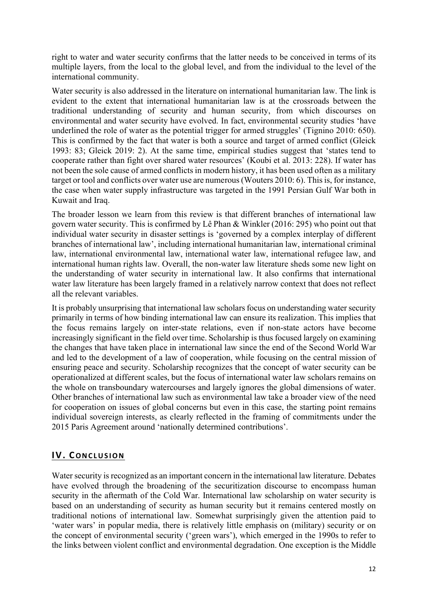right to water and water security confirms that the latter needs to be conceived in terms of its multiple layers, from the local to the global level, and from the individual to the level of the international community.

Water security is also addressed in the literature on international humanitarian law. The link is evident to the extent that international humanitarian law is at the crossroads between the traditional understanding of security and human security, from which discourses on environmental and water security have evolved. In fact, environmental security studies 'have underlined the role of water as the potential trigger for armed struggles' (Tignino 2010: 650). This is confirmed by the fact that water is both a source and target of armed conflict (Gleick 1993: 83; Gleick 2019: 2). At the same time, empirical studies suggest that 'states tend to cooperate rather than fight over shared water resources' (Koubi et al. 2013: 228). If water has not been the sole cause of armed conflicts in modern history, it has been used often as a military target or tool and conflicts over water use are numerous (Wouters 2010: 6). This is, for instance, the case when water supply infrastructure was targeted in the 1991 Persian Gulf War both in Kuwait and Iraq.

The broader lesson we learn from this review is that different branches of international law govern water security. This is confirmed by Lê Phan & Winkler (2016: 295) who point out that individual water security in disaster settings is 'governed by a complex interplay of different branches of international law', including international humanitarian law, international criminal law, international environmental law, international water law, international refugee law, and international human rights law. Overall, the non-water law literature sheds some new light on the understanding of water security in international law. It also confirms that international water law literature has been largely framed in a relatively narrow context that does not reflect all the relevant variables.

It is probably unsurprising that international law scholars focus on understanding water security primarily in terms of how binding international law can ensure its realization. This implies that the focus remains largely on inter-state relations, even if non-state actors have become increasingly significant in the field over time. Scholarship is thus focused largely on examining the changes that have taken place in international law since the end of the Second World War and led to the development of a law of cooperation, while focusing on the central mission of ensuring peace and security. Scholarship recognizes that the concept of water security can be operationalized at different scales, but the focus of international water law scholars remains on the whole on transboundary watercourses and largely ignores the global dimensions of water. Other branches of international law such as environmental law take a broader view of the need for cooperation on issues of global concerns but even in this case, the starting point remains individual sovereign interests, as clearly reflected in the framing of commitments under the 2015 Paris Agreement around 'nationally determined contributions'.

#### **IV. CONCLUSION**

Water security is recognized as an important concern in the international law literature. Debates have evolved through the broadening of the securitization discourse to encompass human security in the aftermath of the Cold War. International law scholarship on water security is based on an understanding of security as human security but it remains centered mostly on traditional notions of international law. Somewhat surprisingly given the attention paid to 'water wars' in popular media, there is relatively little emphasis on (military) security or on the concept of environmental security ('green wars'), which emerged in the 1990s to refer to the links between violent conflict and environmental degradation. One exception is the Middle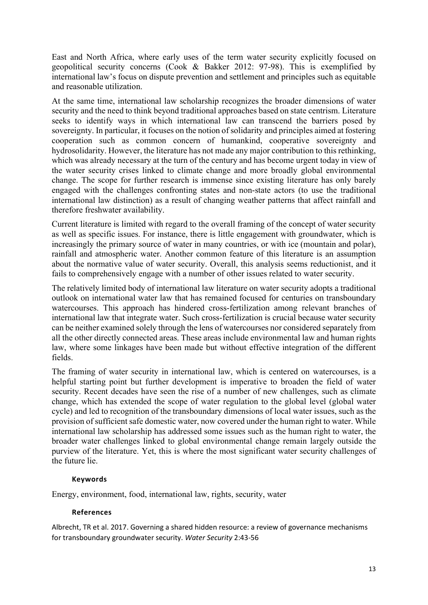East and North Africa, where early uses of the term water security explicitly focused on geopolitical security concerns (Cook & Bakker 2012: 97-98). This is exemplified by international law's focus on dispute prevention and settlement and principles such as equitable and reasonable utilization.

At the same time, international law scholarship recognizes the broader dimensions of water security and the need to think beyond traditional approaches based on state centrism. Literature seeks to identify ways in which international law can transcend the barriers posed by sovereignty. In particular, it focuses on the notion of solidarity and principles aimed at fostering cooperation such as common concern of humankind, cooperative sovereignty and hydrosolidarity. However, the literature has not made any major contribution to this rethinking, which was already necessary at the turn of the century and has become urgent today in view of the water security crises linked to climate change and more broadly global environmental change. The scope for further research is immense since existing literature has only barely engaged with the challenges confronting states and non-state actors (to use the traditional international law distinction) as a result of changing weather patterns that affect rainfall and therefore freshwater availability.

Current literature is limited with regard to the overall framing of the concept of water security as well as specific issues. For instance, there is little engagement with groundwater, which is increasingly the primary source of water in many countries, or with ice (mountain and polar), rainfall and atmospheric water. Another common feature of this literature is an assumption about the normative value of water security. Overall, this analysis seems reductionist, and it fails to comprehensively engage with a number of other issues related to water security.

The relatively limited body of international law literature on water security adopts a traditional outlook on international water law that has remained focused for centuries on transboundary watercourses. This approach has hindered cross-fertilization among relevant branches of international law that integrate water. Such cross-fertilization is crucial because water security can be neither examined solely through the lens of watercourses nor considered separately from all the other directly connected areas. These areas include environmental law and human rights law, where some linkages have been made but without effective integration of the different fields.

The framing of water security in international law, which is centered on watercourses, is a helpful starting point but further development is imperative to broaden the field of water security. Recent decades have seen the rise of a number of new challenges, such as climate change, which has extended the scope of water regulation to the global level (global water cycle) and led to recognition of the transboundary dimensions of local water issues, such as the provision of sufficient safe domestic water, now covered under the human right to water. While international law scholarship has addressed some issues such as the human right to water, the broader water challenges linked to global environmental change remain largely outside the purview of the literature. Yet, this is where the most significant water security challenges of the future lie.

#### Keywords

Energy, environment, food, international law, rights, security, water

#### References

Albrecht, TR et al. 2017. Governing a shared hidden resource: a review of governance mechanisms for transboundary groundwater security. Water Security 2:43-56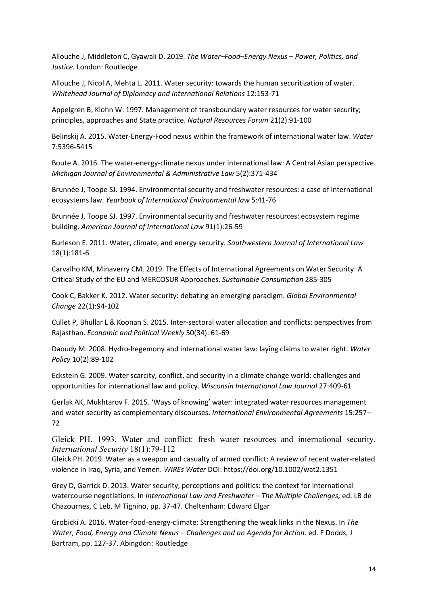Allouche J, Middleton C, Gyawali D. 2019. The Water–Food–Energy Nexus – Power, Politics, and Justice. London: Routledge

Allouche J, Nicol A, Mehta L. 2011. Water security: towards the human securitization of water. Whitehead Journal of Diplomacy and International Relations 12:153-71

Appelgren B, Klohn W. 1997. Management of transboundary water resources for water security; principles, approaches and State practice. Natural Resources Forum 21(2):91-100

Belinskij A. 2015. Water-Energy-Food nexus within the framework of international water law. Water 7:5396-5415

Boute A. 2016. The water-energy-climate nexus under international law: A Central Asian perspective. Michigan Journal of Environmental & Administrative Law 5(2):371-434

Brunnée J, Toope SJ. 1994. Environmental security and freshwater resources: a case of international ecosystems law. Yearbook of International Environmental law 5:41-76

Brunnée J, Toope SJ. 1997. Environmental security and freshwater resources: ecosystem regime building. American Journal of International Law 91(1):26-59

Burleson E. 2011. Water, climate, and energy security. Southwestern Journal of International Law 18(1):181-6

Carvalho KM, Minaverry CM. 2019. The Effects of International Agreements on Water Security: A Critical Study of the EU and MERCOSUR Approaches. Sustainable Consumption 285-305

Cook C, Bakker K. 2012. Water security: debating an emerging paradigm. Global Environmental Change 22(1):94-102

Cullet P, Bhullar L & Koonan S. 2015. Inter-sectoral water allocation and conflicts: perspectives from Rajasthan. Economic and Political Weekly 50(34): 61-69

Daoudy M. 2008. Hydro-hegemony and international water law: laying claims to water right. Water Policy 10(2):89-102

Eckstein G. 2009. Water scarcity, conflict, and security in a climate change world: challenges and opportunities for international law and policy. Wisconsin International Law Journal 27:409-61

Gerlak AK, Mukhtarov F. 2015. 'Ways of knowing' water: integrated water resources management and water security as complementary discourses. International Environmental Agreements 15:257– 72

Gleick PH. 1993. Water and conflict: fresh water resources and international security. International Security 18(1):79-112

Gleick PH. 2019. Water as a weapon and casualty of armed conflict: A review of recent water-related violence in Iraq, Syria, and Yemen. WIREs Water DOI: https://doi.org/10.1002/wat2.1351

Grey D, Garrick D. 2013. Water security, perceptions and politics: the context for international watercourse negotiations. In International Law and Freshwater – The Multiple Challenges, ed. LB de Chazournes, C Leb, M Tignino, pp. 37-47. Cheltenham: Edward Elgar

Grobicki A. 2016. Water-food-energy-climate: Strengthening the weak links in the Nexus. In The Water, Food, Energy and Climate Nexus – Challenges and an Agenda for Action. ed. F Dodds, J Bartram, pp. 127-37. Abingdon: Routledge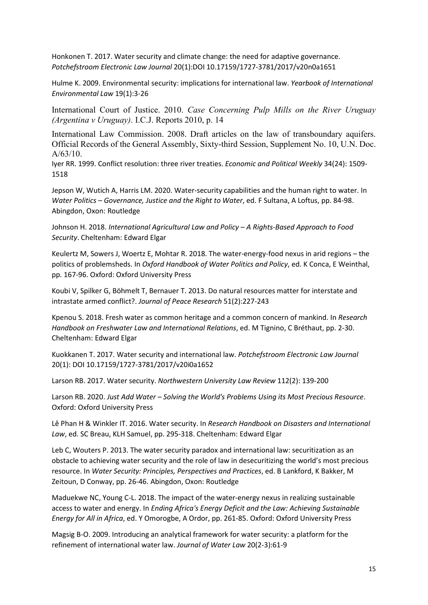Honkonen T. 2017. Water security and climate change: the need for adaptive governance. Potchefstroom Electronic Law Journal 20(1):DOI 10.17159/1727-3781/2017/v20n0a1651

Hulme K. 2009. Environmental security: implications for international law. Yearbook of International Environmental Law 19(1):3-26

International Court of Justice. 2010. Case Concerning Pulp Mills on the River Uruguay (Argentina v Uruguay). I.C.J. Reports 2010, p. 14

International Law Commission. 2008. Draft articles on the law of transboundary aquifers. Official Records of the General Assembly, Sixty-third Session, Supplement No. 10, U.N. Doc. A/63/10.

Iyer RR. 1999. Conflict resolution: three river treaties. Economic and Political Weekly 34(24): 1509- 1518

Jepson W, Wutich A, Harris LM. 2020. Water-security capabilities and the human right to water. In Water Politics – Governance, Justice and the Right to Water, ed. F Sultana, A Loftus, pp. 84-98. Abingdon, Oxon: Routledge

Johnson H. 2018. International Agricultural Law and Policy – A Rights-Based Approach to Food Security. Cheltenham: Edward Elgar

Keulertz M, Sowers J, Woertz E, Mohtar R. 2018. The water-energy-food nexus in arid regions – the politics of problemsheds. In Oxford Handbook of Water Politics and Policy, ed. K Conca, E Weinthal, pp. 167-96. Oxford: Oxford University Press

Koubi V, Spilker G, Böhmelt T, Bernauer T. 2013. Do natural resources matter for interstate and intrastate armed conflict?. Journal of Peace Research 51(2):227-243

Kpenou S. 2018. Fresh water as common heritage and a common concern of mankind. In Research Handbook on Freshwater Law and International Relations, ed. M Tignino, C Bréthaut, pp. 2-30. Cheltenham: Edward Elgar

Kuokkanen T. 2017. Water security and international law. Potchefstroom Electronic Law Journal 20(1): DOI 10.17159/1727-3781/2017/v20i0a1652

Larson RB. 2017. Water security. Northwestern University Law Review 112(2): 139-200

Larson RB. 2020. Just Add Water – Solving the World's Problems Using its Most Precious Resource. Oxford: Oxford University Press

Lê Phan H & Winkler IT. 2016. Water security. In Research Handbook on Disasters and International Law, ed. SC Breau, KLH Samuel, pp. 295-318. Cheltenham: Edward Elgar

Leb C, Wouters P. 2013. The water security paradox and international law: securitization as an obstacle to achieving water security and the role of law in desecuritizing the world's most precious resource. In Water Security: Principles, Perspectives and Practices, ed. B Lankford, K Bakker, M Zeitoun, D Conway, pp. 26-46. Abingdon, Oxon: Routledge

Maduekwe NC, Young C-L. 2018. The impact of the water-energy nexus in realizing sustainable access to water and energy. In Ending Africa's Energy Deficit and the Law: Achieving Sustainable Energy for All in Africa, ed. Y Omorogbe, A Ordor, pp. 261-85. Oxford: Oxford University Press

Magsig B-O. 2009. Introducing an analytical framework for water security: a platform for the refinement of international water law. Journal of Water Law 20(2-3):61-9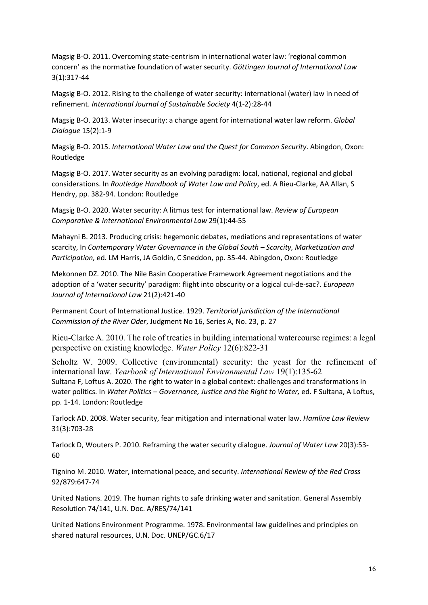Magsig B-O. 2011. Overcoming state-centrism in international water law: 'regional common concern' as the normative foundation of water security. Göttingen Journal of International Law 3(1):317-44

Magsig B-O. 2012. Rising to the challenge of water security: international (water) law in need of refinement. International Journal of Sustainable Society 4(1-2):28-44

Magsig B-O. 2013. Water insecurity: a change agent for international water law reform. Global Dialogue 15(2):1-9

Magsig B-O. 2015. International Water Law and the Quest for Common Security. Abingdon, Oxon: Routledge

Magsig B-O. 2017. Water security as an evolving paradigm: local, national, regional and global considerations. In Routledge Handbook of Water Law and Policy, ed. A Rieu-Clarke, AA Allan, S Hendry, pp. 382-94. London: Routledge

Magsig B-O. 2020. Water security: A litmus test for international law. Review of European Comparative & International Environmental Law 29(1):44-55

Mahayni B. 2013. Producing crisis: hegemonic debates, mediations and representations of water scarcity, In Contemporary Water Governance in the Global South – Scarcity, Marketization and Participation, ed. LM Harris, JA Goldin, C Sneddon, pp. 35-44. Abingdon, Oxon: Routledge

Mekonnen DZ. 2010. The Nile Basin Cooperative Framework Agreement negotiations and the adoption of a 'water security' paradigm: flight into obscurity or a logical cul-de-sac?. European Journal of International Law 21(2):421-40

Permanent Court of International Justice. 1929. Territorial jurisdiction of the International Commission of the River Oder, Judgment No 16, Series A, No. 23, p. 27

Rieu-Clarke A. 2010. The role of treaties in building international watercourse regimes: a legal perspective on existing knowledge. Water Policy 12(6):822-31

Scholtz W. 2009. Collective (environmental) security: the yeast for the refinement of international law. Yearbook of International Environmental Law 19(1):135-62 Sultana F, Loftus A. 2020. The right to water in a global context: challenges and transformations in water politics. In Water Politics - Governance, Justice and the Right to Water, ed. F Sultana, A Loftus, pp. 1-14. London: Routledge

Tarlock AD. 2008. Water security, fear mitigation and international water law. Hamline Law Review 31(3):703-28

Tarlock D, Wouters P. 2010. Reframing the water security dialogue. Journal of Water Law 20(3):53- 60

Tignino M. 2010. Water, international peace, and security. International Review of the Red Cross 92/879:647-74

United Nations. 2019. The human rights to safe drinking water and sanitation. General Assembly Resolution 74/141, U.N. Doc. A/RES/74/141

United Nations Environment Programme. 1978. Environmental law guidelines and principles on shared natural resources, U.N. Doc. UNEP/GC.6/17